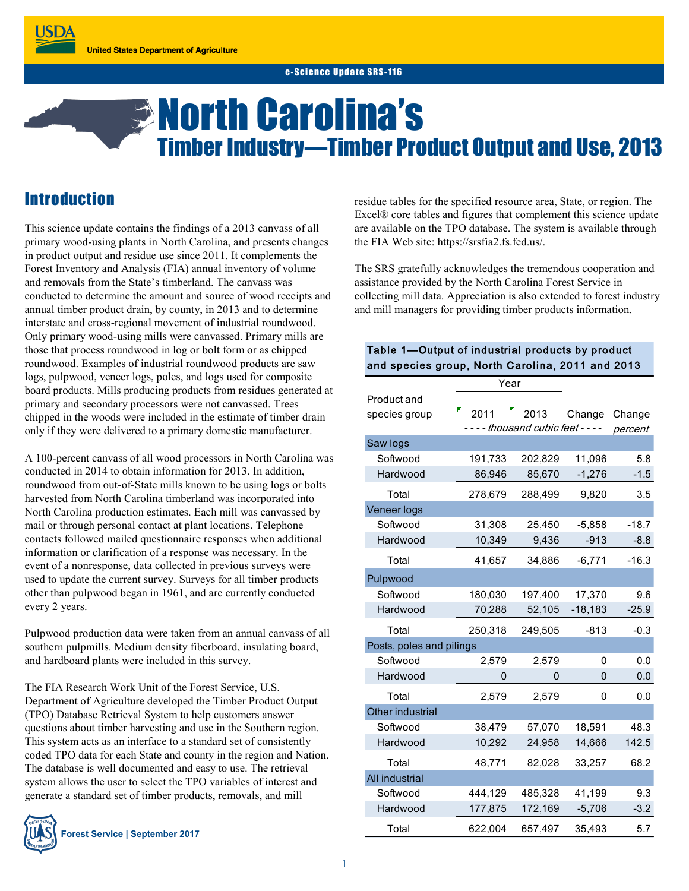#### e-Science Undate SRS-116

# *S* North Carolina's Timber Industry—Timber Product Output and Use, 2013

## **Introduction**

This science update contains the findings of a 2013 canvass of all primary wood-using plants in North Carolina, and presents changes in product output and residue use since 2011. It complements the Forest Inventory and Analysis (FIA) annual inventory of volume and removals from the State's timberland. The canvass was conducted to determine the amount and source of wood receipts and annual timber product drain, by county, in 2013 and to determine interstate and cross-regional movement of industrial roundwood. Only primary wood-using mills were canvassed. Primary mills are those that process roundwood in log or bolt form or as chipped roundwood. Examples of industrial roundwood products are saw logs, pulpwood, veneer logs, poles, and logs used for composite board products. Mills producing products from residues generated at primary and secondary processors were not canvassed. Trees chipped in the woods were included in the estimate of timber drain only if they were delivered to a primary domestic manufacturer.

A 100-percent canvass of all wood processors in North Carolina was conducted in 2014 to obtain information for 2013. In addition, roundwood from out-of-State mills known to be using logs or bolts harvested from North Carolina timberland was incorporated into North Carolina production estimates. Each mill was canvassed by mail or through personal contact at plant locations. Telephone contacts followed mailed questionnaire responses when additional information or clarification of a response was necessary. In the event of a nonresponse, data collected in previous surveys were used to update the current survey. Surveys for all timber products other than pulpwood began in 1961, and are currently conducted every 2 years.

Pulpwood production data were taken from an annual canvass of all southern pulpmills. Medium density fiberboard, insulating board, and hardboard plants were included in this survey.

The FIA Research Work Unit of the Forest Service, U.S. Department of Agriculture developed the Timber Product Output (TPO) Database Retrieval System to help customers answer questions about timber harvesting and use in the Southern region. This system acts as an interface to a standard set of consistently coded TPO data for each State and county in the region and Nation. The database is well documented and easy to use. The retrieval system allows the user to select the TPO variables of interest and generate a standard set of timber products, removals, and mill

residue tables for the specified resource area, State, or region. The Excel® core tables and figures that complement this science update are available on the TPO database. The system is available through the FIA Web site: https://srsfia2.fs.fed.us/.

The SRS gratefully acknowledges the tremendous cooperation and assistance provided by the North Carolina Forest Service in collecting mill data. Appreciation is also extended to forest industry and mill managers for providing timber products information.

#### Table 1—Output of industrial products by product and species group, North Carolina, 2011 and 2013

|                          | Year    |                                     |           |         |
|--------------------------|---------|-------------------------------------|-----------|---------|
| Product and              |         |                                     |           |         |
| species group            | 2011    | 2013                                | Change    | Change  |
|                          |         | - - - - thousand cubic feet - - - - |           | percent |
| Saw logs                 |         |                                     |           |         |
| Softwood                 | 191,733 | 202,829                             | 11,096    | 5.8     |
| Hardwood                 | 86,946  | 85,670                              | $-1,276$  | $-1.5$  |
| Total                    | 278,679 | 288,499                             | 9,820     | 3.5     |
| Veneer logs              |         |                                     |           |         |
| Softwood                 | 31,308  | 25,450                              | $-5,858$  | $-18.7$ |
| Hardwood                 | 10,349  | 9,436                               | $-913$    | $-8.8$  |
| Total                    | 41,657  | 34,886                              | $-6,771$  | $-16.3$ |
| Pulpwood                 |         |                                     |           |         |
| Softwood                 | 180,030 | 197,400                             | 17,370    | 9.6     |
| Hardwood                 | 70,288  | 52,105                              | $-18,183$ | $-25.9$ |
| Total                    | 250,318 | 249,505                             | $-813$    | $-0.3$  |
| Posts, poles and pilings |         |                                     |           |         |
| Softwood                 | 2,579   | 2,579                               | 0         | 0.0     |
| Hardwood                 | 0       | 0                                   | 0         | 0.0     |
| Total                    | 2,579   | 2,579                               | 0         | 0.0     |
| Other industrial         |         |                                     |           |         |
| Softwood                 | 38,479  | 57,070                              | 18,591    | 48.3    |
| Hardwood                 | 10,292  | 24,958                              | 14,666    | 142.5   |
| Total                    | 48,771  | 82.028                              | 33,257    | 68.2    |
| All industrial           |         |                                     |           |         |
| Softwood                 | 444,129 | 485,328                             | 41,199    | 9.3     |
| Hardwood                 | 177,875 | 172,169                             | $-5,706$  | $-3.2$  |
| Total                    | 622,004 | 657,497                             | 35,493    | 5.7     |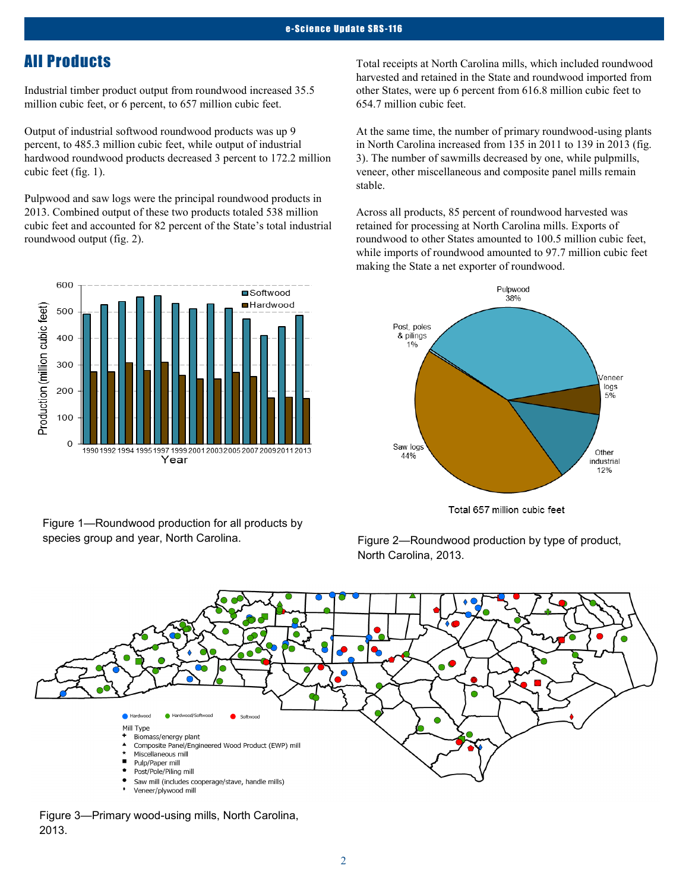## All Products

Industrial timber product output from roundwood increased 35.5 million cubic feet, or 6 percent, to 657 million cubic feet.

Output of industrial softwood roundwood products was up 9 percent, to 485.3 million cubic feet, while output of industrial hardwood roundwood products decreased 3 percent to 172.2 million cubic feet (fig. 1).

Pulpwood and saw logs were the principal roundwood products in 2013. Combined output of these two products totaled 538 million cubic feet and accounted for 82 percent of the State's total industrial roundwood output (fig. 2).

600 **□**Softwood Hardwood Production (million cubic feet) 500 400 300 200 100  $\overline{0}$ 1990 1992 1994 1995 1997 1999 2001 2003 2005 2007 2009 2011 2013 Year

Figure 1—Roundwood production for all products by species group and year, North Carolina. Figure 2—Roundwood production by type of product,

Total receipts at North Carolina mills, which included roundwood harvested and retained in the State and roundwood imported from other States, were up 6 percent from 616.8 million cubic feet to 654.7 million cubic feet.

At the same time, the number of primary roundwood-using plants in North Carolina increased from 135 in 2011 to 139 in 2013 (fig. 3). The number of sawmills decreased by one, while pulpmills, veneer, other miscellaneous and composite panel mills remain stable.

Across all products, 85 percent of roundwood harvested was retained for processing at North Carolina mills. Exports of roundwood to other States amounted to 100.5 million cubic feet, while imports of roundwood amounted to 97.7 million cubic feet making the State a net exporter of roundwood.



Total 657 million cubic feet

North Carolina, 2013.



Figure 3—Primary wood-using mills, North Carolina, 2013.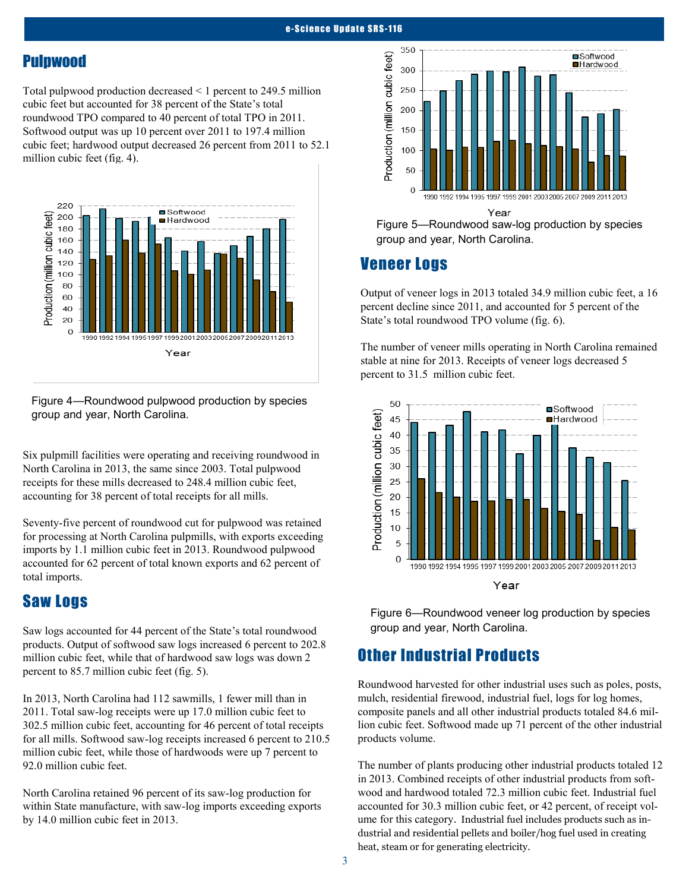#### Pulpwood

Total pulpwood production decreased < 1 percent to 249.5 million cubic feet but accounted for 38 percent of the State's total roundwood TPO compared to 40 percent of total TPO in 2011. Softwood output was up 10 percent over 2011 to 197.4 million cubic feet; hardwood output decreased 26 percent from 2011 to 52.1 million cubic feet (fig. 4).



Figure 4—Roundwood pulpwood production by species group and year, North Carolina.

Six pulpmill facilities were operating and receiving roundwood in North Carolina in 2013, the same since 2003. Total pulpwood receipts for these mills decreased to 248.4 million cubic feet, accounting for 38 percent of total receipts for all mills.

Seventy-five percent of roundwood cut for pulpwood was retained for processing at North Carolina pulpmills, with exports exceeding imports by 1.1 million cubic feet in 2013. Roundwood pulpwood accounted for 62 percent of total known exports and 62 percent of total imports.

## Saw Logs

Saw logs accounted for 44 percent of the State's total roundwood products. Output of softwood saw logs increased 6 percent to 202.8 million cubic feet, while that of hardwood saw logs was down 2 percent to 85.7 million cubic feet (fig. 5).

In 2013, North Carolina had 112 sawmills, 1 fewer mill than in 2011. Total saw-log receipts were up 17.0 million cubic feet to 302.5 million cubic feet, accounting for 46 percent of total receipts for all mills. Softwood saw-log receipts increased 6 percent to 210.5 million cubic feet, while those of hardwoods were up 7 percent to 92.0 million cubic feet.

North Carolina retained 96 percent of its saw-log production for within State manufacture, with saw-log imports exceeding exports by 14.0 million cubic feet in 2013.



Year

Figure 5—Roundwood saw-log production by species group and year, North Carolina.

#### Veneer Logs

Output of veneer logs in 2013 totaled 34.9 million cubic feet, a 16 percent decline since 2011, and accounted for 5 percent of the State's total roundwood TPO volume (fig. 6).

The number of veneer mills operating in North Carolina remained stable at nine for 2013. Receipts of veneer logs decreased 5 percent to 31.5 million cubic feet.



Figure 6—Roundwood veneer log production by species group and year, North Carolina.

## Other Industrial Products

Roundwood harvested for other industrial uses such as poles, posts, mulch, residential firewood, industrial fuel, logs for log homes, composite panels and all other industrial products totaled 84.6 million cubic feet. Softwood made up 71 percent of the other industrial products volume.

The number of plants producing other industrial products totaled 12 in 2013. Combined receipts of other industrial products from softwood and hardwood totaled 72.3 million cubic feet. Industrial fuel accounted for 30.3 million cubic feet, or 42 percent, of receipt volume for this category. Industrial fuel includes products such as industrial and residential pellets and boiler/hog fuel used in creating heat, steam or for generating electricity.